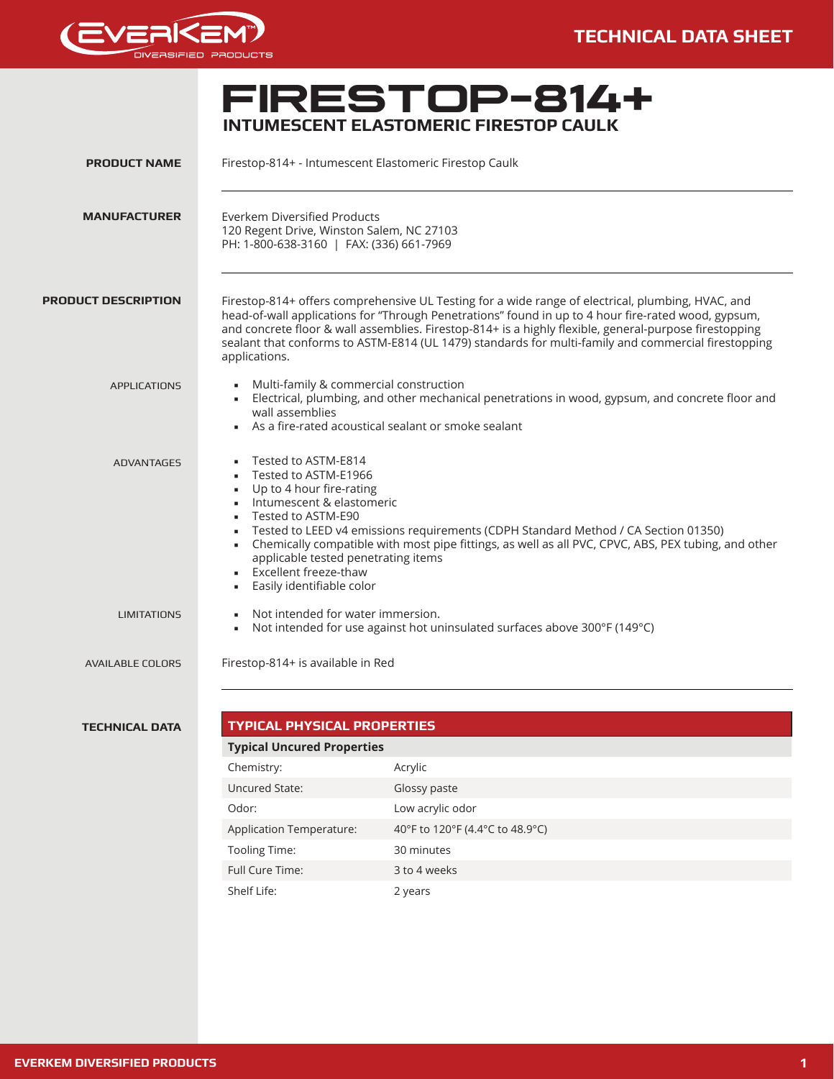



# **FIRESTOP**<br>INTUMESCENT ELASTOMERIC FIRESTOP CAULK

| <b>PRODUCT NAME</b>        |                                                                                                                                                                                                                                                    | Firestop-814+ - Intumescent Elastomeric Firestop Caulk                                                                                                                                                                                                                                                                                                                                                                    |
|----------------------------|----------------------------------------------------------------------------------------------------------------------------------------------------------------------------------------------------------------------------------------------------|---------------------------------------------------------------------------------------------------------------------------------------------------------------------------------------------------------------------------------------------------------------------------------------------------------------------------------------------------------------------------------------------------------------------------|
| <b>MANUFACTURER</b>        | <b>Everkem Diversified Products</b><br>PH: 1-800-638-3160   FAX: (336) 661-7969                                                                                                                                                                    | 120 Regent Drive, Winston Salem, NC 27103                                                                                                                                                                                                                                                                                                                                                                                 |
| <b>PRODUCT DESCRIPTION</b> | applications.                                                                                                                                                                                                                                      | Firestop-814+ offers comprehensive UL Testing for a wide range of electrical, plumbing, HVAC, and<br>head-of-wall applications for "Through Penetrations" found in up to 4 hour fire-rated wood, gypsum,<br>and concrete floor & wall assemblies. Firestop-814+ is a highly flexible, general-purpose firestopping<br>sealant that conforms to ASTM-E814 (UL 1479) standards for multi-family and commercial firestopping |
| <b>APPLICATIONS</b>        | wall assemblies                                                                                                                                                                                                                                    | Multi-family & commercial construction<br>- Electrical, plumbing, and other mechanical penetrations in wood, gypsum, and concrete floor and<br>As a fire-rated acoustical sealant or smoke sealant                                                                                                                                                                                                                        |
| <b>ADVANTAGES</b>          | Tested to ASTM-E814<br>٠<br>Tested to ASTM-E1966<br>Up to 4 hour fire-rating<br>$\blacksquare$<br>Intumescent & elastomeric<br>Tested to ASTM-E90<br>$\blacksquare$<br><b>Excellent freeze-thaw</b><br>Easily identifiable color<br>$\blacksquare$ | Tested to LEED v4 emissions requirements (CDPH Standard Method / CA Section 01350)<br>Chemically compatible with most pipe fittings, as well as all PVC, CPVC, ABS, PEX tubing, and other<br>applicable tested penetrating items                                                                                                                                                                                          |
| <b>LIMITATIONS</b>         |                                                                                                                                                                                                                                                    | Not intended for water immersion.<br>Not intended for use against hot uninsulated surfaces above 300°F (149°C)                                                                                                                                                                                                                                                                                                            |
| <b>AVAILABLE COLORS</b>    | Firestop-814+ is available in Red                                                                                                                                                                                                                  |                                                                                                                                                                                                                                                                                                                                                                                                                           |
|                            |                                                                                                                                                                                                                                                    |                                                                                                                                                                                                                                                                                                                                                                                                                           |
| <b>TECHNICAL DATA</b>      | <b>TYPICAL PHYSICAL PROPERTIES</b><br><b>Typical Uncured Properties</b>                                                                                                                                                                            |                                                                                                                                                                                                                                                                                                                                                                                                                           |
|                            | Chemistry:                                                                                                                                                                                                                                         | Acrylic                                                                                                                                                                                                                                                                                                                                                                                                                   |
|                            | Uncured State:                                                                                                                                                                                                                                     | Glossy paste                                                                                                                                                                                                                                                                                                                                                                                                              |
|                            | Odor:                                                                                                                                                                                                                                              | Low acrylic odor                                                                                                                                                                                                                                                                                                                                                                                                          |
|                            |                                                                                                                                                                                                                                                    |                                                                                                                                                                                                                                                                                                                                                                                                                           |

Application Temperature: 40°F to 120°F (4.4°C to 48.9°C)

Tooling Time: 30 minutes Full Cure Time: 3 to 4 weeks Shelf Life: 2 years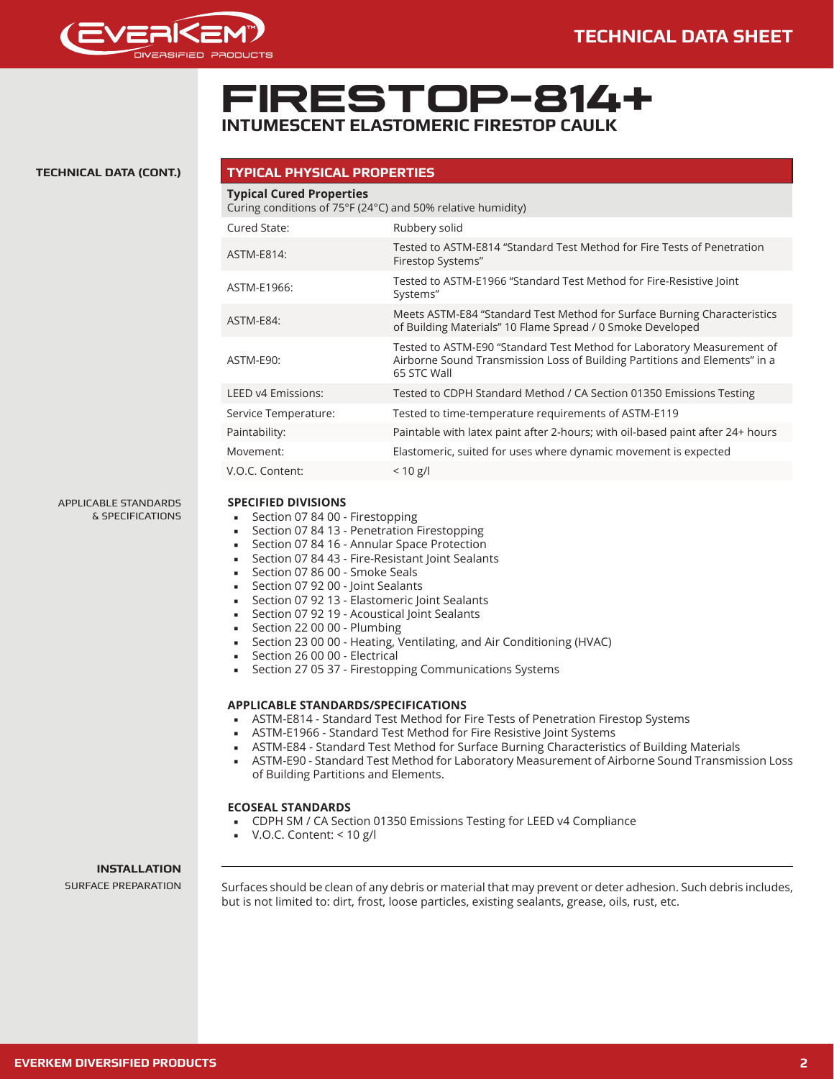

# **FIRESTOP-814+ INTUMESCENT ELASTOMERIC FIRESTOP CAULK**

### **TECHNICAL DATA (CONT.)**

| <b>Typical Cured Properties</b> | Curing conditions of 75°F (24°C) and 50% relative humidity)                                                                                                         |
|---------------------------------|---------------------------------------------------------------------------------------------------------------------------------------------------------------------|
| Cured State:                    | Rubbery solid                                                                                                                                                       |
| ASTM-E814:                      | Tested to ASTM-E814 "Standard Test Method for Fire Tests of Penetration<br>Firestop Systems"                                                                        |
| ASTM-E1966:                     | Tested to ASTM-E1966 "Standard Test Method for Fire-Resistive Joint<br>Systems"                                                                                     |
| ASTM-E84:                       | Meets ASTM-E84 "Standard Test Method for Surface Burning Characteristics<br>of Building Materials" 10 Flame Spread / 0 Smoke Developed                              |
| ASTM-E90:                       | Tested to ASTM-E90 "Standard Test Method for Laboratory Measurement of<br>Airborne Sound Transmission Loss of Building Partitions and Elements" in a<br>65 STC Wall |
| LEED v4 Emissions:              | Tested to CDPH Standard Method / CA Section 01350 Emissions Testing                                                                                                 |
| Service Temperature:            | Tested to time-temperature requirements of ASTM-E119                                                                                                                |
| Paintability:                   | Paintable with latex paint after 2-hours; with oil-based paint after 24+ hours                                                                                      |
| Movement:                       | Elastomeric, suited for uses where dynamic movement is expected                                                                                                     |
| V.O.C. Content:                 | $< 10$ g/l                                                                                                                                                          |

APPLICABLE STANDARDS & SPECIFICATIONS

## **SPECIFIED DIVISIONS**

- Section 07 84 00 Firestopping
- Section 07 84 13 Penetration Firestopping
- Section 07 84 16 Annular Space Protection
- Section 07 84 43 Fire-Resistant Joint Sealants
- Section 07 86 00 Smoke Seals
- Section 07 92 00 Joint Sealants
- Section 07 92 13 Elastomeric Joint Sealants
- Section 07 92 19 Acoustical Joint Sealants
- Section 22 00 00 Plumbing
- Section 23 00 00 Heating, Ventilating, and Air Conditioning (HVAC)
- Section 26 00 00 Electrical
- Section 27 05 37 Firestopping Communications Systems

## **APPLICABLE STANDARDS/SPECIFICATIONS**

- ASTM-E814 Standard Test Method for Fire Tests of Penetration Firestop Systems
- ASTM-E1966 Standard Test Method for Fire Resistive Joint Systems
- ASTM-E84 Standard Test Method for Surface Burning Characteristics of Building Materials
- ASTM-E90 Standard Test Method for Laboratory Measurement of Airborne Sound Transmission Loss of Building Partitions and Elements.

#### **ECOSEAL STANDARDS**

- CDPH SM / CA Section 01350 Emissions Testing for LEED v4 Compliance
- V.O.C. Content: < 10 g/l

### **INSTALLATION**

SURFACE PREPARATION Surfaces should be clean of any debris or material that may prevent or deter adhesion. Such debris includes, but is not limited to: dirt, frost, loose particles, existing sealants, grease, oils, rust, etc.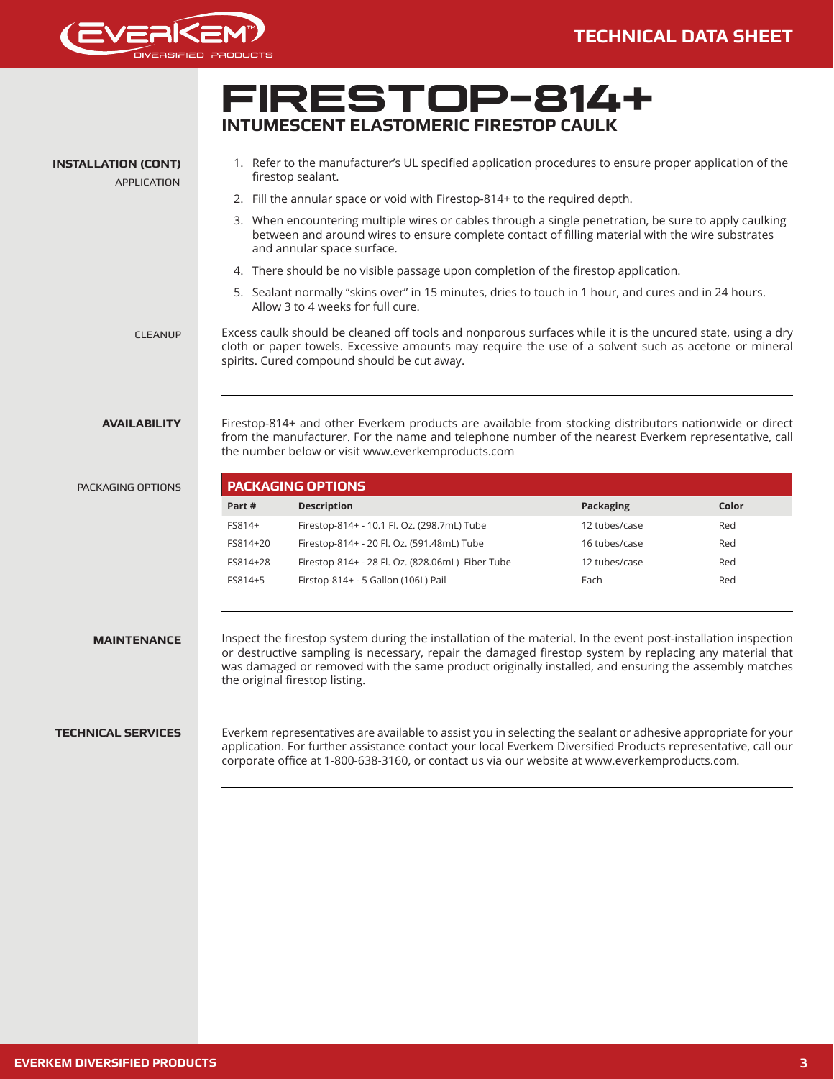

## **FIRESTOP-814+ INTUMESCENT ELASTOMERIC FIRESTOP CAULK TECHNICAL SERVICES** Everkem representatives are available to assist you in selecting the sealant or adhesive appropriate for your application. For further assistance contact your local Everkem Diversified Products representative, call our corporate office at 1-800-638-3160, or contact us via our website at www.everkemproducts.com. PACKAGING OPTIONS **PACKAGING OPTIONS Part # Description Packaging Color** FS814+ Firestop-814+ - 10.1 Fl. Oz. (298.7mL) Tube 12 tubes/case Red FS814+20 Firestop-814+ - 20 Fl. Oz. (591.48mL) Tube 16 tubes/case Red FS814+28 Firestop-814+ - 28 Fl. Oz. (828.06mL) Fiber Tube 12 tubes/case Red FS814+5 Firstop-814+ - 5 Gallon (106L) Pail Each Red Inspect the firestop system during the installation of the material. In the event post-installation inspection or destructive sampling is necessary, repair the damaged firestop system by replacing any material that was damaged or removed with the same product originally installed, and ensuring the assembly matches the original firestop listing. **MAINTENANCE AVAILABILITY** Firestop-814+ and other Everkem products are available from stocking distributors nationwide or direct from the manufacturer. For the name and telephone number of the nearest Everkem representative, call the number below or visit www.everkemproducts.com APPLICATION CLEANUP Excess caulk should be cleaned off tools and nonporous surfaces while it is the uncured state, using a dry cloth or paper towels. Excessive amounts may require the use of a solvent such as acetone or mineral spirits. Cured compound should be cut away. 1. Refer to the manufacturer's UL specified application procedures to ensure proper application of the firestop sealant. 2. Fill the annular space or void with Firestop-814+ to the required depth. 3. When encountering multiple wires or cables through a single penetration, be sure to apply caulking between and around wires to ensure complete contact of filling material with the wire substrates and annular space surface. 4. There should be no visible passage upon completion of the firestop application. 5. Sealant normally "skins over" in 15 minutes, dries to touch in 1 hour, and cures and in 24 hours. Allow 3 to 4 weeks for full cure. **INSTALLATION (CONT)**